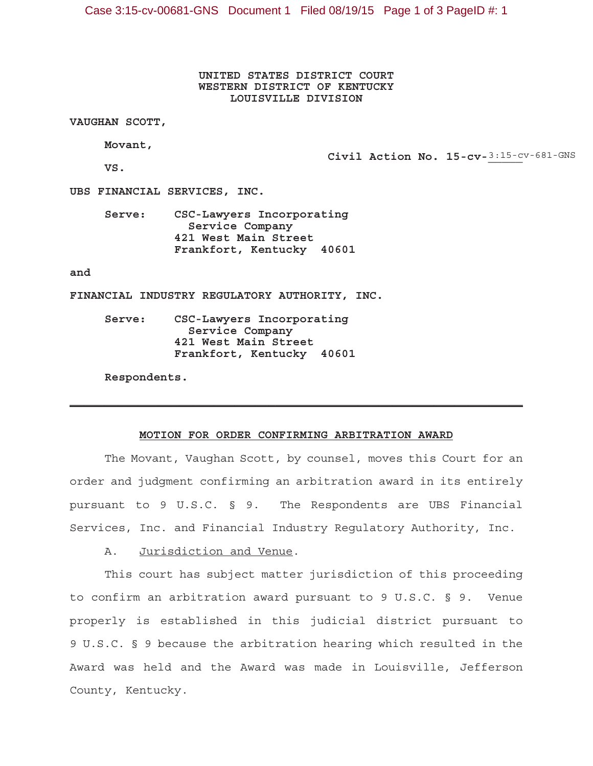Case 3:15-cv-00681-GNS Document 1 Filed 08/19/15 Page 1 of 3 PageID #: 1

**UNITED STATES DISTRICT COURT WESTERN DISTRICT OF KENTUCKY LOUISVILLE DIVISION**

**VAUGHAN SCOTT,**

**Movant,**

Civil Action No. 15-cv-3:15-cv-681-GNS

**VS.**

**UBS FINANCIAL SERVICES, INC.**

**Serve: CSC-Lawyers Incorporating Service Company 421 West Main Street Frankfort, Kentucky 40601**

**and**

**FINANCIAL INDUSTRY REGULATORY AUTHORITY, INC.**

**Serve: CSC-Lawyers Incorporating Service Company 421 West Main Street Frankfort, Kentucky 40601**

**Respondents.**

#### **MOTION FOR ORDER CONFIRMING ARBITRATION AWARD**

 $\mathcal{L}_\text{max}$  and  $\mathcal{L}_\text{max}$  and  $\mathcal{L}_\text{max}$  and  $\mathcal{L}_\text{max}$  and  $\mathcal{L}_\text{max}$  and  $\mathcal{L}_\text{max}$ 

The Movant, Vaughan Scott, by counsel, moves this Court for an order and judgment confirming an arbitration award in its entirely pursuant to 9 U.S.C. § 9. The Respondents are UBS Financial Services, Inc. and Financial Industry Regulatory Authority, Inc.

A. Jurisdiction and Venue.

This court has subject matter jurisdiction of this proceeding to confirm an arbitration award pursuant to 9 U.S.C. § 9. Venue properly is established in this judicial district pursuant to 9 U.S.C. § 9 because the arbitration hearing which resulted in the Award was held and the Award was made in Louisville, Jefferson County, Kentucky.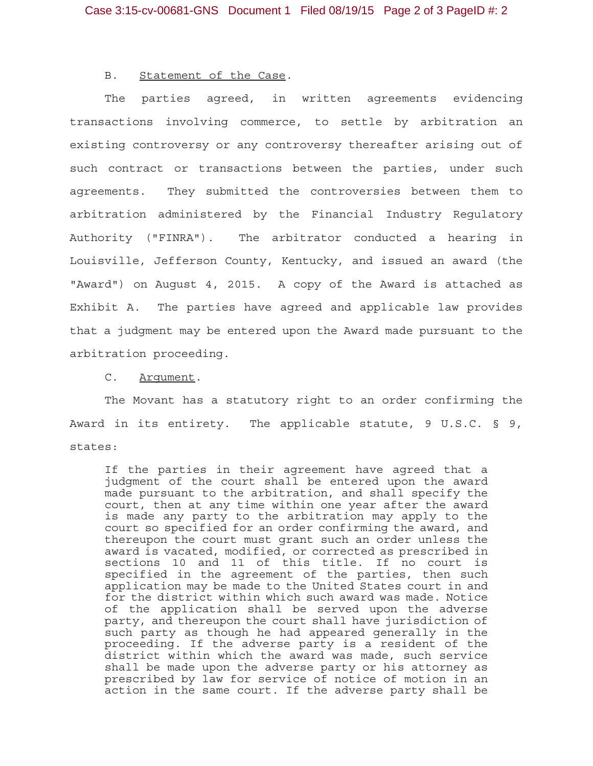#### B. Statement of the Case.

The parties agreed, in written agreements evidencing transactions involving commerce, to settle by arbitration an existing controversy or any controversy thereafter arising out of such contract or transactions between the parties, under such agreements. They submitted the controversies between them to arbitration administered by the Financial Industry Regulatory Authority ("FINRA"). The arbitrator conducted a hearing in Louisville, Jefferson County, Kentucky, and issued an award (the "Award") on August 4, 2015. A copy of the Award is attached as Exhibit A. The parties have agreed and applicable law provides that a judgment may be entered upon the Award made pursuant to the arbitration proceeding.

#### C. Argument.

The Movant has a statutory right to an order confirming the Award in its entirety. The applicable statute, 9 U.S.C. § 9, states:

If the parties in their agreement have agreed that a judgment of the court shall be entered upon the award made pursuant to the arbitration, and shall specify the court, then at any time within one year after the award is made any party to the arbitration may apply to the court so specified for an order confirming the award, and thereupon the court must grant such an order unless the award is vacated, modified, or corrected as prescribed in sections 10 and 11 of this title. If no court is specified in the agreement of the parties, then such application may be made to the United States court in and for the district within which such award was made. Notice of the application shall be served upon the adverse party, and thereupon the court shall have jurisdiction of such party as though he had appeared generally in the proceeding. If the adverse party is a resident of the district within which the award was made, such service shall be made upon the adverse party or his attorney as prescribed by law for service of notice of motion in an action in the same court. If the adverse party shall be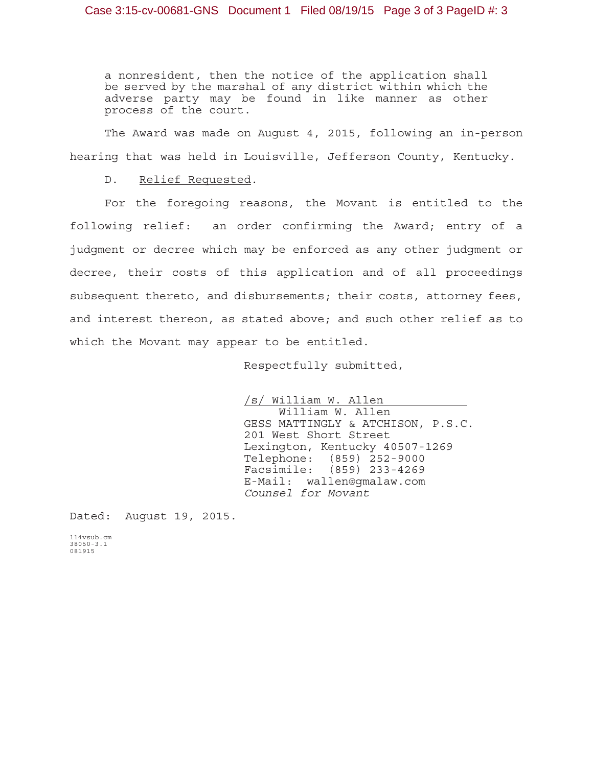a nonresident, then the notice of the application shall be served by the marshal of any district within which the adverse party may be found in like manner as other process of the court.

The Award was made on August 4, 2015, following an in-person hearing that was held in Louisville, Jefferson County, Kentucky.

#### D. Relief Requested.

For the foregoing reasons, the Movant is entitled to the following relief: an order confirming the Award; entry of a judgment or decree which may be enforced as any other judgment or decree, their costs of this application and of all proceedings subsequent thereto, and disbursements; their costs, attorney fees, and interest thereon, as stated above; and such other relief as to which the Movant may appear to be entitled.

Respectfully submitted,

/s/ William W. Allen William W. Allen GESS MATTINGLY & ATCHISON, P.S.C. 201 West Short Street Lexington, Kentucky 40507-1269 Telephone: (859) 252-9000 Facsimile: (859) 233-4269 E-Mail: wallen@gmalaw.com *Counsel for Movant*

Dated: August 19, 2015.

114vsub.cm 38050-3.1 081915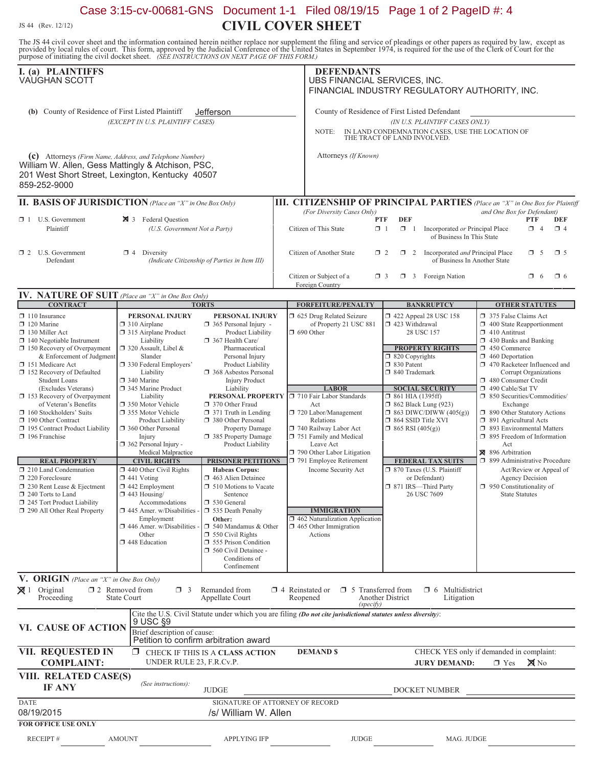# Case 3:15-cv-00681-GNS Document 1-1 Filed 08/19/15 Page 1 of 2 PageID #: 4 **CIVIL COVER SHEET**

JS 44 (Rev. 12/12)

The JS 44 civil cover sheet and the information contained herein neither replace nor supplement the filing and service of pleadings or other papers as required by law, except as provided by local rules of court. This form,

| I. (a) PLAINTIFFS<br>VAUGHAN SCOTT                                                                                                                                                                                                         |                                                                                                                                                                                                                                      |                                                                                                                                                                                                       | <b>DEFENDANTS</b><br>UBS FINANCIAL SERVICES, INC.<br>FINANCIAL INDUSTRY REGULATORY AUTHORITY, INC.                                                                                     |                                                                                                                                                          |                                                                                                                                                                                                                                          |
|--------------------------------------------------------------------------------------------------------------------------------------------------------------------------------------------------------------------------------------------|--------------------------------------------------------------------------------------------------------------------------------------------------------------------------------------------------------------------------------------|-------------------------------------------------------------------------------------------------------------------------------------------------------------------------------------------------------|----------------------------------------------------------------------------------------------------------------------------------------------------------------------------------------|----------------------------------------------------------------------------------------------------------------------------------------------------------|------------------------------------------------------------------------------------------------------------------------------------------------------------------------------------------------------------------------------------------|
| (b) County of Residence of First Listed Plaintiff<br>Jefferson<br>(EXCEPT IN U.S. PLAINTIFF CASES)                                                                                                                                         |                                                                                                                                                                                                                                      |                                                                                                                                                                                                       | County of Residence of First Listed Defendant<br>(IN U.S. PLAINTIFF CASES ONLY)<br>IN LAND CONDEMNATION CASES, USE THE LOCATION OF<br>NOTE:<br>THE TRACT OF LAND INVOLVED.             |                                                                                                                                                          |                                                                                                                                                                                                                                          |
| (c) Attorneys (Firm Name, Address, and Telephone Number)<br>William W. Allen, Gess Mattingly & Atchison, PSC,<br>201 West Short Street, Lexington, Kentucky 40507<br>859-252-9000                                                          |                                                                                                                                                                                                                                      |                                                                                                                                                                                                       | Attorneys (If Known)                                                                                                                                                                   |                                                                                                                                                          |                                                                                                                                                                                                                                          |
| <b>II. BASIS OF JURISDICTION</b> (Place an "X" in One Box Only)                                                                                                                                                                            |                                                                                                                                                                                                                                      |                                                                                                                                                                                                       |                                                                                                                                                                                        |                                                                                                                                                          | <b>III. CITIZENSHIP OF PRINCIPAL PARTIES</b> (Place an "X" in One Box for Plaintiff                                                                                                                                                      |
| $\Box$ 1 U.S. Government<br>Plaintiff                                                                                                                                                                                                      | 3 Federal Question<br>(U.S. Government Not a Party)                                                                                                                                                                                  |                                                                                                                                                                                                       | (For Diversity Cases Only)<br>Citizen of This State                                                                                                                                    | <b>DEF</b><br>PTF<br>$\Box$ 1<br>$\Box$ 1<br>Incorporated or Principal Place<br>of Business In This State                                                | and One Box for Defendant)<br><b>PTF</b><br><b>DEF</b><br>$\Box$ 4<br>$\Box$ 4                                                                                                                                                           |
| $\Box$ 2 U.S. Government<br>Defendant                                                                                                                                                                                                      | $\Box$ 4 Diversity                                                                                                                                                                                                                   | (Indicate Citizenship of Parties in Item III)                                                                                                                                                         | Citizen of Another State                                                                                                                                                               | $\Box$ 2<br>Incorporated and Principal Place<br>$\Box$ 2<br>of Business In Another State                                                                 | $\Box$ 5<br>$\Box$ 5                                                                                                                                                                                                                     |
|                                                                                                                                                                                                                                            |                                                                                                                                                                                                                                      |                                                                                                                                                                                                       | Citizen or Subject of a<br>Foreign Country                                                                                                                                             | 3 Foreign Nation<br>$\Box$ 3                                                                                                                             | $\Box$ 6<br>$\Box$ 6                                                                                                                                                                                                                     |
| IV. NATURE OF SUIT (Place an "X" in One Box Only)                                                                                                                                                                                          |                                                                                                                                                                                                                                      |                                                                                                                                                                                                       |                                                                                                                                                                                        |                                                                                                                                                          |                                                                                                                                                                                                                                          |
| <b>CONTRACT</b><br>$\Box$ 110 Insurance                                                                                                                                                                                                    | PERSONAL INJURY                                                                                                                                                                                                                      | <b>TORTS</b><br>PERSONAL INJURY                                                                                                                                                                       | <b>FORFEITURE/PENALTY</b><br>1 625 Drug Related Seizure                                                                                                                                | <b>BANKRUPTCY</b><br>1422 Appeal 28 USC 158                                                                                                              | <b>OTHER STATUTES</b><br>375 False Claims Act                                                                                                                                                                                            |
| $\Box$ 120 Marine<br>130 Miller Act<br>$\Box$ 140 Negotiable Instrument<br>$\Box$ 150 Recovery of Overpayment<br>& Enforcement of Judgment<br>151 Medicare Act<br>152 Recovery of Defaulted<br><b>Student Loans</b><br>(Excludes Veterans) | $\Box$ 310 Airplane<br>□ 315 Airplane Product<br>Liability<br>$\Box$ 320 Assault, Libel &<br>Slander<br>330 Federal Employers'<br>Liability<br>340 Marine<br>345 Marine Product                                                      | $\Box$ 365 Personal Injury -<br>Product Liability<br>367 Health Care/<br>Pharmaceutical<br>Personal Injury<br>Product Liability<br>368 Asbestos Personal<br><b>Injury Product</b><br>Liability        | of Property 21 USC 881<br>$\Box$ 690 Other<br><b>LABOR</b>                                                                                                                             | $\Box$ 423 Withdrawal<br>28 USC 157<br><b>PROPERTY RIGHTS</b><br>$\Box$ 820 Copyrights<br>□ 830 Patent<br>$\Box$ 840 Trademark<br><b>SOCIAL SECURITY</b> | $\Box$ 400 State Reapportionment<br>$\Box$ 410 Antitrust<br>$\Box$ 430 Banks and Banking<br>450 Commerce<br>$\Box$ 460 Deportation<br>1 470 Racketeer Influenced and<br>Corrupt Organizations<br>480 Consumer Credit<br>490 Cable/Sat TV |
| 153 Recovery of Overpayment<br>of Veteran's Benefits<br>$\Box$ 160 Stockholders' Suits<br>190 Other Contract<br>195 Contract Product Liability<br>$\Box$ 196 Franchise                                                                     | Liability<br>□ 350 Motor Vehicle<br>355 Motor Vehicle<br>Product Liability<br>360 Other Personal<br>Injury<br>$\Box$ 362 Personal Injury -<br>Medical Malpractice                                                                    | 370 Other Fraud<br>$\Box$ 371 Truth in Lending<br>380 Other Personal<br>Property Damage<br>385 Property Damage<br><b>Product Liability</b>                                                            | PERSONAL PROPERTY J 710 Fair Labor Standards<br>Act<br>720 Labor/Management<br>Relations<br>740 Railway Labor Act<br>751 Family and Medical<br>Leave Act<br>790 Other Labor Litigation | $\Box$ 861 HIA (1395ff)<br><b>1</b> 862 Black Lung (923)<br>$\Box$ 863 DIWC/DIWW (405(g))<br>□ 864 SSID Title XVI<br>$\Box$ 865 RSI (405(g))             | □ 850 Securities/Commodities/<br>Exchange<br>1 890 Other Statutory Actions<br>□ 891 Agricultural Acts<br>□ 893 Environmental Matters<br>$\Box$ 895 Freedom of Information<br>Act<br>896 Arbitration                                      |
| <b>REAL PROPERTY</b><br>210 Land Condemnation<br>220 Foreclosure<br>$\Box$ 230 Rent Lease & Ejectment<br>240 Torts to Land<br>245 Tort Product Liability<br>290 All Other Real Property                                                    | <b>CIVIL RIGHTS</b><br>$\Box$ 440 Other Civil Rights<br>$\Box$ 441 Voting<br>$\square$ 442 Employment<br>$\Box$ 443 Housing/<br>Accommodations<br>$\Box$ 445 Amer. w/Disabilities -<br>Employment<br>$\Box$ 446 Amer. w/Disabilities | <b>PRISONER PETITIONS</b><br><b>Habeas Corpus:</b><br>1 463 Alien Detainee<br>$\Box$ 510 Motions to Vacate<br>Sentence<br>□ 530 General<br>535 Death Penalty<br>Other:<br>$\Box$ 540 Mandamus & Other | 791 Employee Retirement<br>Income Security Act<br><b>IMMIGRATION</b><br>$\Box$ 462 Naturalization Application<br>$\Box$ 465 Other Immigration                                          | <b>FEDERAL TAX SUITS</b><br>□ 870 Taxes (U.S. Plaintiff<br>or Defendant)<br>□ 871 IRS-Third Party<br>26 USC 7609                                         | 1 899 Administrative Procedure<br>Act/Review or Appeal of<br>Agency Decision<br>$\Box$ 950 Constitutionality of<br><b>State Statutes</b>                                                                                                 |
|                                                                                                                                                                                                                                            | Other<br>448 Education                                                                                                                                                                                                               | $\Box$ 550 Civil Rights<br>555 Prison Condition<br>560 Civil Detainee -<br>Conditions of<br>Confinement                                                                                               | Actions                                                                                                                                                                                |                                                                                                                                                          |                                                                                                                                                                                                                                          |
| V. ORIGIN (Place an "X" in One Box Only)                                                                                                                                                                                                   |                                                                                                                                                                                                                                      |                                                                                                                                                                                                       |                                                                                                                                                                                        |                                                                                                                                                          |                                                                                                                                                                                                                                          |
| $\boxtimes$ 1 Original<br>Proceeding                                                                                                                                                                                                       | $\Box$ 2 Removed from<br>$\Box$ 3<br><b>State Court</b>                                                                                                                                                                              | Remanded from<br>Appellate Court                                                                                                                                                                      | $\Box$ 4 Reinstated or $\Box$ 5 Transferred from<br>Reopened<br>(specify)                                                                                                              | $\Box$ 6 Multidistrict<br>Another District<br>Litigation                                                                                                 |                                                                                                                                                                                                                                          |
| VI. CAUSE OF ACTION                                                                                                                                                                                                                        | 9 USC §9<br>Brief description of cause:                                                                                                                                                                                              | Petition to confirm arbitration award                                                                                                                                                                 | Cite the U.S. Civil Statute under which you are filing (Do not cite jurisdictional statutes unless diversity):                                                                         |                                                                                                                                                          |                                                                                                                                                                                                                                          |
| VII. REQUESTED IN<br><b>COMPLAINT:</b>                                                                                                                                                                                                     | UNDER RULE 23, F.R.Cv.P.                                                                                                                                                                                                             | $\Box$ CHECK IF THIS IS A CLASS ACTION                                                                                                                                                                | <b>DEMAND \$</b>                                                                                                                                                                       | <b>JURY DEMAND:</b>                                                                                                                                      | CHECK YES only if demanded in complaint:<br>$\boxtimes$ No<br>$\Box$ Yes                                                                                                                                                                 |
| VIII. RELATED CASE(S)<br><b>IF ANY</b>                                                                                                                                                                                                     | (See instructions):                                                                                                                                                                                                                  | <b>JUDGE</b>                                                                                                                                                                                          |                                                                                                                                                                                        | DOCKET NUMBER                                                                                                                                            |                                                                                                                                                                                                                                          |
| <b>DATE</b><br>08/19/2015                                                                                                                                                                                                                  |                                                                                                                                                                                                                                      | SIGNATURE OF ATTORNEY OF RECORD<br>/s/ William W. Allen                                                                                                                                               |                                                                                                                                                                                        |                                                                                                                                                          |                                                                                                                                                                                                                                          |
| <b>FOR OFFICE USE ONLY</b><br><b>RECEIPT#</b>                                                                                                                                                                                              | <b>AMOUNT</b>                                                                                                                                                                                                                        | <b>APPLYING IFP</b>                                                                                                                                                                                   | <b>JUDGE</b>                                                                                                                                                                           | MAG. JUDGE                                                                                                                                               |                                                                                                                                                                                                                                          |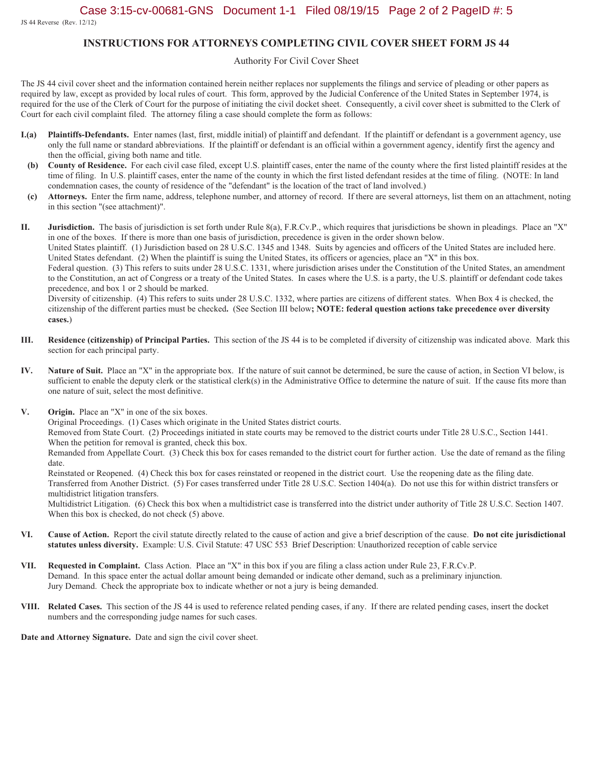JS 44 Reverse (Rev. 12/12)

#### **INSTRUCTIONS FOR ATTORNEYS COMPLETING CIVIL COVER SHEET FORM JS 44**

#### Authority For Civil Cover Sheet

The JS 44 civil cover sheet and the information contained herein neither replaces nor supplements the filings and service of pleading or other papers as required by law, except as provided by local rules of court. This form, approved by the Judicial Conference of the United States in September 1974, is required for the use of the Clerk of Court for the purpose of initiating the civil docket sheet. Consequently, a civil cover sheet is submitted to the Clerk of Court for each civil complaint filed. The attorney filing a case should complete the form as follows:

- Plaintiffs-Defendants. Enter names (last, first, middle initial) of plaintiff and defendant. If the plaintiff or defendant is a government agency, use  $I(a)$ only the full name or standard abbreviations. If the plaintiff or defendant is an official within a government agency, identify first the agency and then the official, giving both name and title.
- County of Residence. For each civil case filed, except U.S. plaintiff cases, enter the name of the county where the first listed plaintiff resides at the (b) time of filing. In U.S. plaintiff cases, enter the name of the county in which the first listed defendant resides at the time of filing. (NOTE: In land condemnation cases, the county of residence of the "defendant" is the location of the tract of land involved.)
- Attorneys. Enter the firm name, address, telephone number, and attorney of record. If there are several attorneys, list them on an attachment, noting  $(c)$ in this section "(see attachment)".

II. Jurisdiction. The basis of jurisdiction is set forth under Rule 8(a), F.R.Cv.P., which requires that jurisdictions be shown in pleadings. Place an "X" in one of the boxes. If there is more than one basis of jurisdiction, precedence is given in the order shown below.

United States plaintiff. (1) Jurisdiction based on 28 U.S.C. 1345 and 1348. Suits by agencies and officers of the United States are included here. United States defendant. (2) When the plaintiff is suing the United States, its officers or agencies, place an "X" in this box.

Federal question. (3) This refers to suits under 28 U.S.C. 1331, where jurisdiction arises under the Constitution of the United States, an amendment to the Constitution, an act of Congress or a treaty of the United States. In cases where the U.S. is a party, the U.S. plaintiff or defendant code takes precedence, and box 1 or 2 should be marked.

Diversity of citizenship. (4) This refers to suits under 28 U.S.C. 1332, where parties are citizens of different states. When Box 4 is checked, the citizenship of the different parties must be checked. (See Section III below; NOTE: federal question actions take precedence over diversity cases.)

- III. Residence (citizenship) of Principal Parties. This section of the JS 44 is to be completed if diversity of citizenship was indicated above. Mark this section for each principal party.
- IV. Nature of Suit. Place an "X" in the appropriate box. If the nature of suit cannot be determined, be sure the cause of action, in Section VI below, is sufficient to enable the deputy clerk or the statistical clerk(s) in the Administrative Office to determine the nature of suit. If the cause fits more than one nature of suit, select the most definitive.
- V. Origin. Place an "X" in one of the six boxes.

Original Proceedings. (1) Cases which originate in the United States district courts.

Removed from State Court. (2) Proceedings initiated in state courts may be removed to the district courts under Title 28 U.S.C., Section 1441. When the petition for removal is granted, check this box.

Remanded from Appellate Court. (3) Check this box for cases remanded to the district court for further action. Use the date of remand as the filing date.

Reinstated or Reopened. (4) Check this box for cases reinstated or reopened in the district court. Use the reopening date as the filing date. Transferred from Another District. (5) For cases transferred under Title 28 U.S.C. Section 1404(a). Do not use this for within district transfers or multidistrict litigation transfers.

Multidistrict Litigation. (6) Check this box when a multidistrict case is transferred into the district under authority of Title 28 U.S.C. Section 1407. When this box is checked, do not check (5) above.

- VI. Cause of Action. Report the civil statute directly related to the cause of action and give a brief description of the cause. Do not cite jurisdictional statutes unless diversity. Example: U.S. Civil Statute: 47 USC 553 Brief Description: Unauthorized reception of cable service
- VII. Requested in Complaint. Class Action. Place an "X" in this box if you are filing a class action under Rule 23, F.R.Cv.P. Demand. In this space enter the actual dollar amount being demanded or indicate other demand, such as a preliminary injunction. Jury Demand. Check the appropriate box to indicate whether or not a jury is being demanded.
- VIII. Related Cases. This section of the JS 44 is used to reference related pending cases, if any. If there are related pending cases, insert the docket numbers and the corresponding judge names for such cases.

Date and Attorney Signature. Date and sign the civil cover sheet.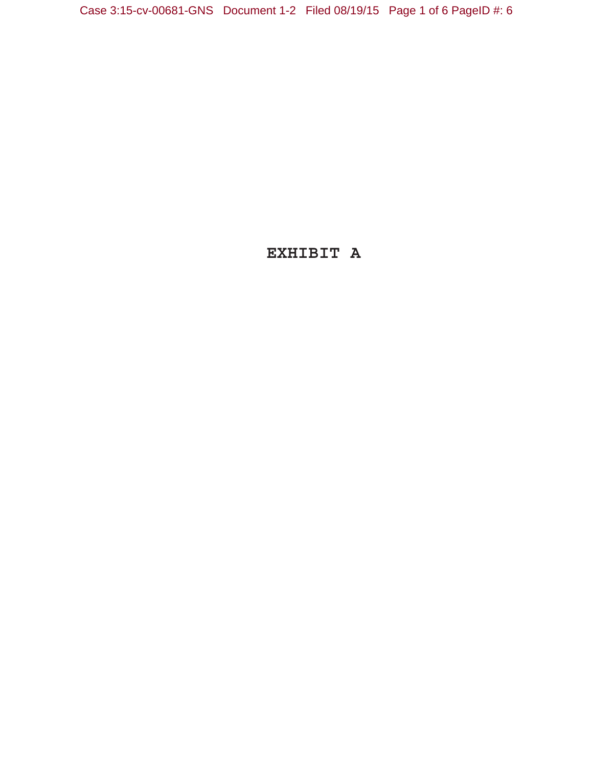Case 3:15-cv-00681-GNS Document 1-2 Filed 08/19/15 Page 1 of 6 PageID #: 6

# **EXHIBIT A**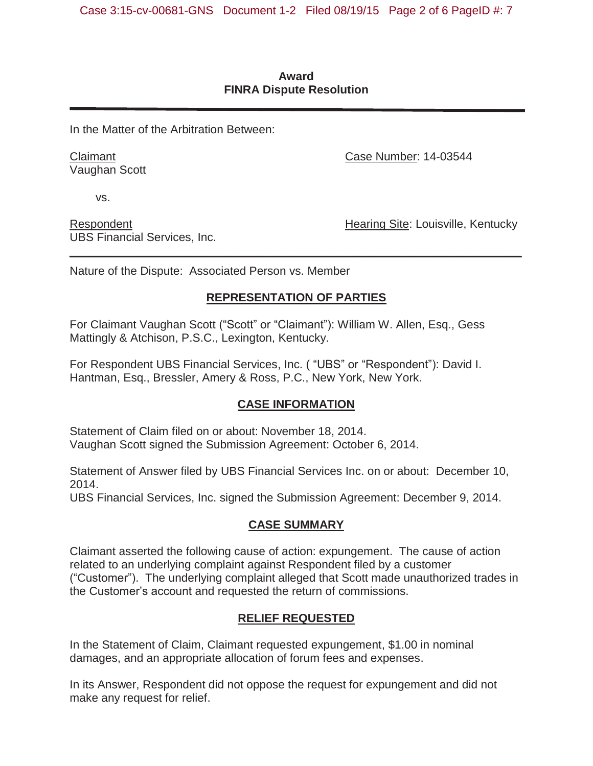### **Award FINRA Dispute Resolution**

In the Matter of the Arbitration Between:

Claimant Vaughan Scott Case Number: 14-03544

vs.

Respondent UBS Financial Services, Inc. Hearing Site: Louisville, Kentucky

Nature of the Dispute: Associated Person vs. Member

## **REPRESENTATION OF PARTIES**

*\_\_\_\_\_\_\_\_\_\_\_\_\_\_\_\_\_\_\_\_\_\_\_\_\_\_\_\_\_\_\_\_\_\_\_\_\_\_\_\_\_\_\_\_\_\_\_\_\_\_\_\_\_\_\_\_\_\_\_\_\_\_\_\_\_\_\_\_\_\_* 

For Claimant Vaughan Scott ("Scott" or "Claimant"): William W. Allen, Esq., Gess Mattingly & Atchison, P.S.C., Lexington, Kentucky.

For Respondent UBS Financial Services, Inc. ( "UBS" or "Respondent"): David I. Hantman, Esq., Bressler, Amery & Ross, P.C., New York, New York.

## **CASE INFORMATION**

Statement of Claim filed on or about: November 18, 2014. Vaughan Scott signed the Submission Agreement: October 6, 2014.

Statement of Answer filed by UBS Financial Services Inc. on or about: December 10, 2014.

UBS Financial Services, Inc. signed the Submission Agreement: December 9, 2014.

## **CASE SUMMARY**

Claimant asserted the following cause of action: expungement. The cause of action related to an underlying complaint against Respondent filed by a customer ("Customer"). The underlying complaint alleged that Scott made unauthorized trades in the Customer's account and requested the return of commissions.

## **RELIEF REQUESTED**

In the Statement of Claim, Claimant requested expungement, \$1.00 in nominal damages, and an appropriate allocation of forum fees and expenses.

In its Answer, Respondent did not oppose the request for expungement and did not make any request for relief.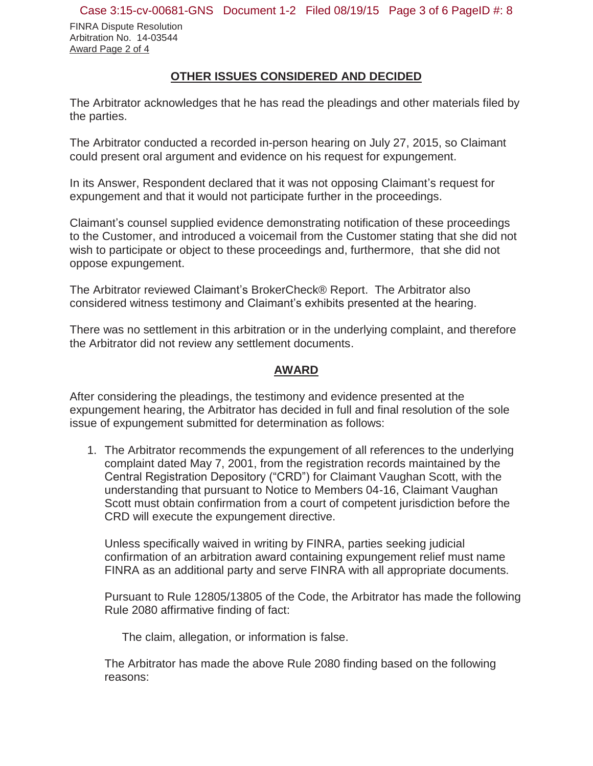FINRA Dispute Resolution Arbitration No. 14-03544 Award Page 2 of 4

### **OTHER ISSUES CONSIDERED AND DECIDED**

The Arbitrator acknowledges that he has read the pleadings and other materials filed by the parties.

The Arbitrator conducted a recorded in-person hearing on July 27, 2015, so Claimant could present oral argument and evidence on his request for expungement.

In its Answer, Respondent declared that it was not opposing Claimant's request for expungement and that it would not participate further in the proceedings.

Claimant's counsel supplied evidence demonstrating notification of these proceedings to the Customer, and introduced a voicemail from the Customer stating that she did not wish to participate or object to these proceedings and, furthermore, that she did not oppose expungement.

The Arbitrator reviewed Claimant's BrokerCheck® Report. The Arbitrator also considered witness testimony and Claimant's exhibits presented at the hearing.

There was no settlement in this arbitration or in the underlying complaint, and therefore the Arbitrator did not review any settlement documents.

### **AWARD**

After considering the pleadings, the testimony and evidence presented at the expungement hearing, the Arbitrator has decided in full and final resolution of the sole issue of expungement submitted for determination as follows:

1. The Arbitrator recommends the expungement of all references to the underlying complaint dated May 7, 2001, from the registration records maintained by the Central Registration Depository ("CRD") for Claimant Vaughan Scott, with the understanding that pursuant to Notice to Members 04-16, Claimant Vaughan Scott must obtain confirmation from a court of competent jurisdiction before the CRD will execute the expungement directive.

Unless specifically waived in writing by FINRA, parties seeking judicial confirmation of an arbitration award containing expungement relief must name FINRA as an additional party and serve FINRA with all appropriate documents.

Pursuant to Rule 12805/13805 of the Code, the Arbitrator has made the following Rule 2080 affirmative finding of fact:

The claim, allegation, or information is false.

The Arbitrator has made the above Rule 2080 finding based on the following reasons: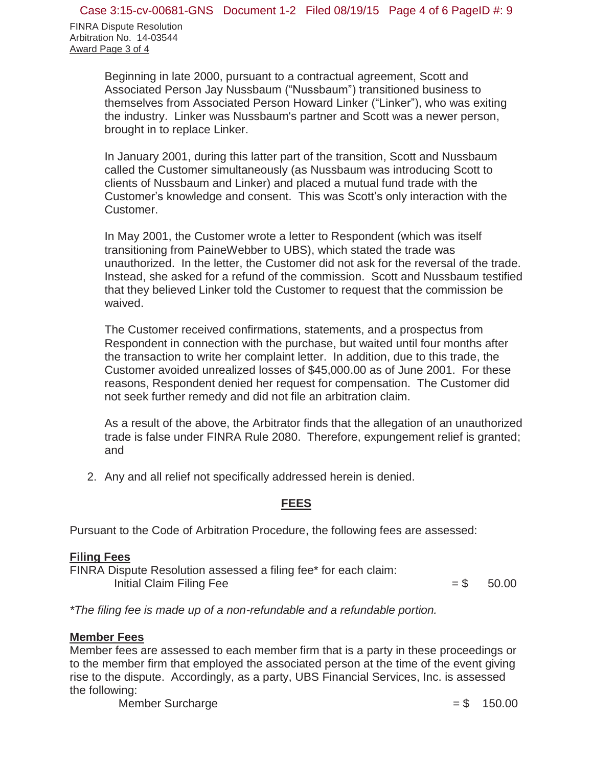FINRA Dispute Resolution Arbitration No. 14-03544 Award Page 3 of 4

> Beginning in late 2000, pursuant to a contractual agreement, Scott and Associated Person Jay Nussbaum ("Nussbaum") transitioned business to themselves from Associated Person Howard Linker ("Linker"), who was exiting the industry. Linker was Nussbaum's partner and Scott was a newer person, brought in to replace Linker.

> In January 2001, during this latter part of the transition, Scott and Nussbaum called the Customer simultaneously (as Nussbaum was introducing Scott to clients of Nussbaum and Linker) and placed a mutual fund trade with the Customer's knowledge and consent. This was Scott's only interaction with the Customer.

In May 2001, the Customer wrote a letter to Respondent (which was itself transitioning from PaineWebber to UBS), which stated the trade was unauthorized. In the letter, the Customer did not ask for the reversal of the trade. Instead, she asked for a refund of the commission. Scott and Nussbaum testified that they believed Linker told the Customer to request that the commission be waived.

The Customer received confirmations, statements, and a prospectus from Respondent in connection with the purchase, but waited until four months after the transaction to write her complaint letter. In addition, due to this trade, the Customer avoided unrealized losses of \$45,000.00 as of June 2001. For these reasons, Respondent denied her request for compensation. The Customer did not seek further remedy and did not file an arbitration claim.

As a result of the above, the Arbitrator finds that the allegation of an unauthorized trade is false under FINRA Rule 2080. Therefore, expungement relief is granted; and

2. Any and all relief not specifically addressed herein is denied.

### **FEES**

Pursuant to the Code of Arbitration Procedure, the following fees are assessed:

### **Filing Fees**

FINRA Dispute Resolution assessed a filing fee\* for each claim: Initial Claim Filing Fee  $= $$  50.00

*\*The filing fee is made up of a non-refundable and a refundable portion.* 

## **Member Fees**

Member fees are assessed to each member firm that is a party in these proceedings or to the member firm that employed the associated person at the time of the event giving rise to the dispute. Accordingly, as a party, UBS Financial Services, Inc. is assessed the following:

Member Surcharge  $= $$  150.00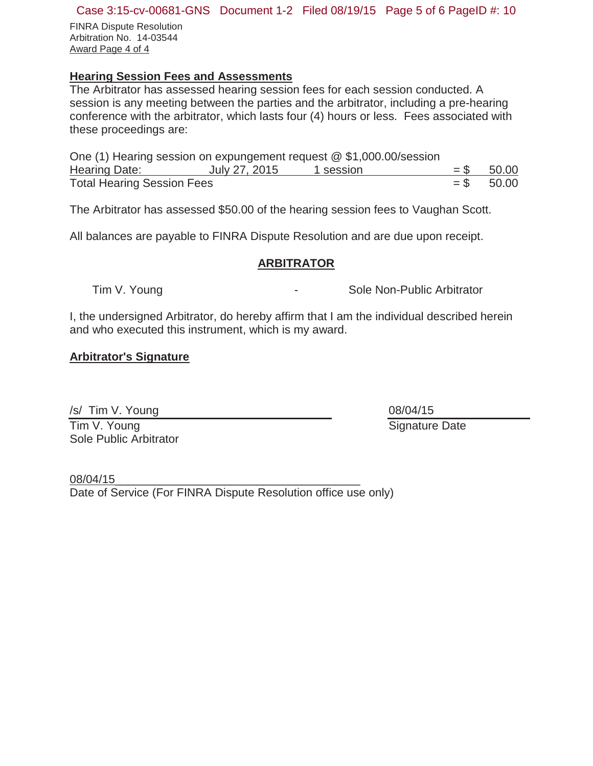#### Case 3:15-cv-00681-GNS Document 1-2 Filed 08/19/15 Page 5 of 6 PageID #: 10

FINRA Dispute Resolution Arbitration No. 14-03544 Award Page 4 of 4

## **Hearing Session Fees and Assessments**

The Arbitrator has assessed hearing session fees for each session conducted. A session is any meeting between the parties and the arbitrator, including a pre-hearing conference with the arbitrator, which lasts four (4) hours or less. Fees associated with these proceedings are:

| One (1) Hearing session on expungement request @ \$1,000.00/session |               |           |              |
|---------------------------------------------------------------------|---------------|-----------|--------------|
| Hearing Date:                                                       | July 27, 2015 | 1 session | $=$ \$ 50.00 |
| <b>Total Hearing Session Fees</b>                                   |               |           | $=$ \$ 50.00 |

The Arbitrator has assessed \$50.00 of the hearing session fees to Vaughan Scott.

All balances are payable to FINRA Dispute Resolution and are due upon receipt.

#### **ARBITRATOR**

Tim V. Young **Construction Construction Construction** Sole Non-Public Arbitrator

I, the undersigned Arbitrator, do hereby affirm that I am the individual described herein and who executed this instrument, which is my award.

### **Arbitrator's Signature**

/s/ Tim V. Young

Tim V. Young Sole Public Arbitrator 08/04/15 Signature Date

08/04/15\_\_\_\_\_\_\_\_\_\_\_\_\_\_\_\_\_\_\_\_\_\_\_\_\_\_\_\_\_\_\_\_\_\_\_\_\_\_ Date of Service (For FINRA Dispute Resolution office use only)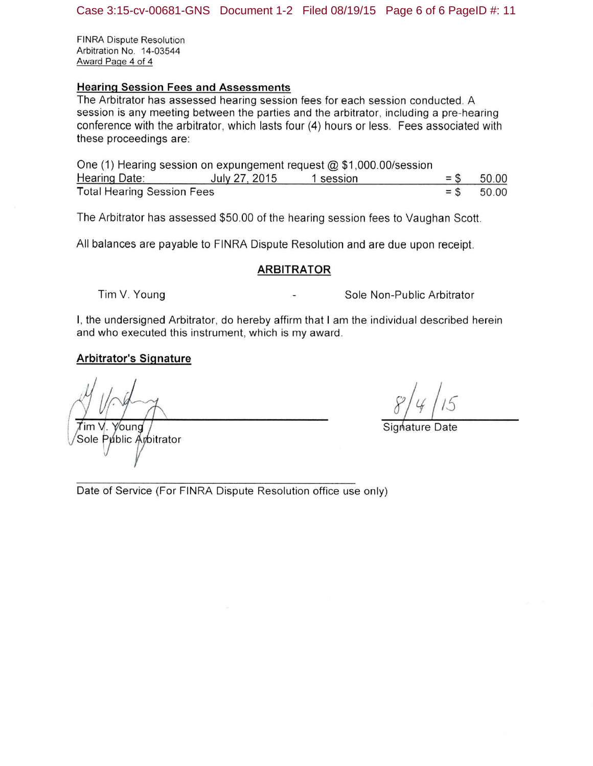**FINRA Dispute Resolution** Arbitration No. 14-03544 Award Page 4 of 4

#### **Hearing Session Fees and Assessments**

The Arbitrator has assessed hearing session fees for each session conducted. A session is any meeting between the parties and the arbitrator, including a pre-hearing conference with the arbitrator, which lasts four (4) hours or less. Fees associated with these proceedings are:

One (1) Hearing session on expungement request  $@$  \$1,000.00/session Hearing Date: July 27, 2015 1 session 50.00 **Total Hearing Session Fees** 50.00

The Arbitrator has assessed \$50.00 of the hearing session fees to Vaughan Scott.

All balances are payable to FINRA Dispute Resolution and are due upon receipt.

#### **ARBITRATOR**

Tim V. Young

Sole Non-Public Arbitrator

I, the undersigned Arbitrator, do hereby affirm that I am the individual described herein and who executed this instrument, which is my award.

#### **Arbitrator's Signature**

Voung Tim V. Sole Public Ambitrator

Date of Service (For FINRA Dispute Resolution office use only)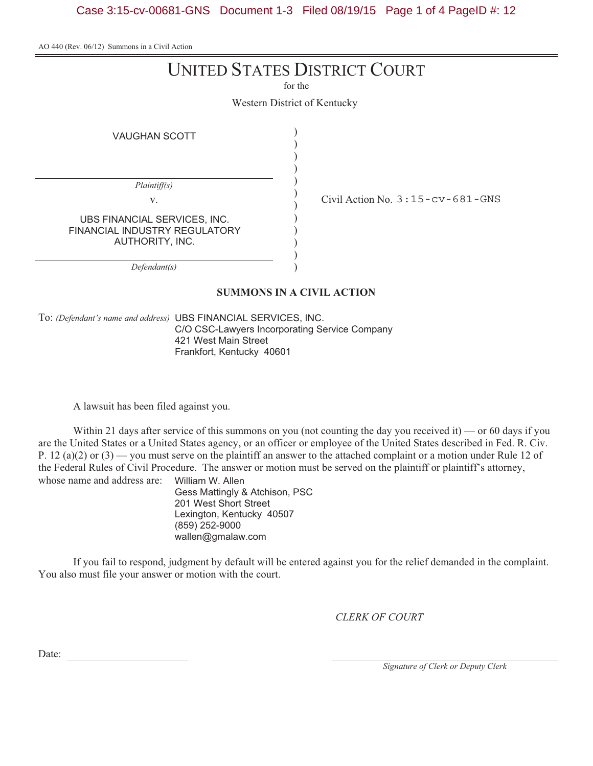Case 3:15-cv-00681-GNS Document 1-3 Filed 08/19/15 Page 1 of 4 PageID #: 12

AO 440 (Rev. 06/12) Summons in a Civil Action

# UNITED STATES DISTRICT COURT

for the

Western District of Kentucky

)  $\tilde{\mathcal{L}}$ 

**VAUGHAN SCOTT** 

| Plaintiff(s)                                                                     |                                            |
|----------------------------------------------------------------------------------|--------------------------------------------|
| V.                                                                               | Civil Action No. $3:15$ - $cv$ - 681 - GNS |
| UBS FINANCIAL SERVICES, INC.<br>FINANCIAL INDUSTRY REGULATORY<br>AUTHORITY, INC. |                                            |
| :fendant(s)                                                                      |                                            |

**SUMMONS IN A CIVIL ACTION**

To: *(Defendant's name and address)* C/O CSC-Lawyers Incorporating Service Company 421 West Main Street 121 Meet Mantucky  $\ldots$   $\ldots$   $\ldots$ 

A lawsuit has been filed against you.

Within 21 days after service of this summons on you (not counting the day you received it) — or 60 days if you are the United States or a United States agency, or an officer or employee of the United States described in Fed. R. Civ. P. 12 (a)(2) or  $(3)$  — you must serve on the plaintiff an answer to the attached complaint or a motion under Rule 12 of the Federal Rules of Civil Procedure. The answer or motion must be served on the plaintiff or plaintiff's attorney, whose name and address are: William W. Allen

Gess Mattingly & Atchison, PSC 201 West Short Street Lexington, Kentucky 40507 (859) 252-9000 (\*\*\**) =\*=* \*\*\*\*<br>wallen@gmalay wallen@gmalaw.com

If you fail to respond, judgment by default will be entered against you for the relief demanded in the complaint. You also must file your answer or motion with the court.

*CLERK OF COURT*

Date:

*Signature of Clerk or Deputy Clerk*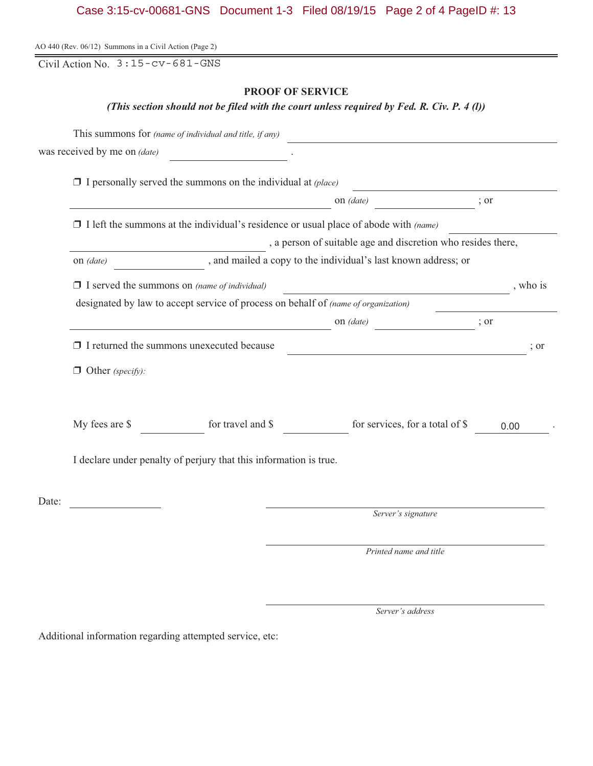## Case 3:15-cv-00681-GNS Document 1-3 Filed 08/19/15 Page 2 of 4 PageID #: 13

|  |  | AO 440 (Rev. 06/12) Summons in a Civil Action (Page 2) |
|--|--|--------------------------------------------------------|
|--|--|--------------------------------------------------------|

Civil Action No. 3:15-cv-681-GNS

#### **PROOF OF SERVICE**

*(This section should not be filed with the court unless required by Fed. R. Civ. P. 4 (l))*

|       |                              | This summons for (name of individual and title, if any)                                     |                                                                                                                     |      |          |
|-------|------------------------------|---------------------------------------------------------------------------------------------|---------------------------------------------------------------------------------------------------------------------|------|----------|
|       | was received by me on (date) |                                                                                             |                                                                                                                     |      |          |
|       |                              | $\Box$ I personally served the summons on the individual at (place)                         |                                                                                                                     |      |          |
|       |                              |                                                                                             | on $(date)$                                                                                                         | ; or |          |
|       |                              | $\Box$ I left the summons at the individual's residence or usual place of abode with (name) |                                                                                                                     |      |          |
|       |                              |                                                                                             | , a person of suitable age and discretion who resides there,                                                        |      |          |
|       | on $(data)$                  |                                                                                             | , and mailed a copy to the individual's last known address; or                                                      |      |          |
|       |                              | $\Box$ I served the summons on (name of individual)                                         | <u> 1989 - Johann Barn, amerikan personal (</u>                                                                     |      | , who is |
|       |                              | designated by law to accept service of process on behalf of (name of organization)          |                                                                                                                     |      |          |
|       |                              |                                                                                             | on <i>(date)</i> ; or                                                                                               |      |          |
|       |                              | $\Box$ I returned the summons unexecuted because                                            | <u> 1989 - Johann Barn, mars eta bainar eta baina eta baina eta baina eta baina eta baina eta baina eta baina e</u> |      | $:$ or   |
|       | $\Box$ Other (specify):      |                                                                                             |                                                                                                                     |      |          |
|       | My fees are \$               | for travel and \$                                                                           | for services, for a total of \$                                                                                     | 0.00 |          |
|       |                              | I declare under penalty of perjury that this information is true.                           |                                                                                                                     |      |          |
| Date: |                              |                                                                                             |                                                                                                                     |      |          |
|       |                              |                                                                                             | Server's signature                                                                                                  |      |          |
|       |                              |                                                                                             | Printed name and title                                                                                              |      |          |

*Server's address*

Additional information regarding attempted service, etc: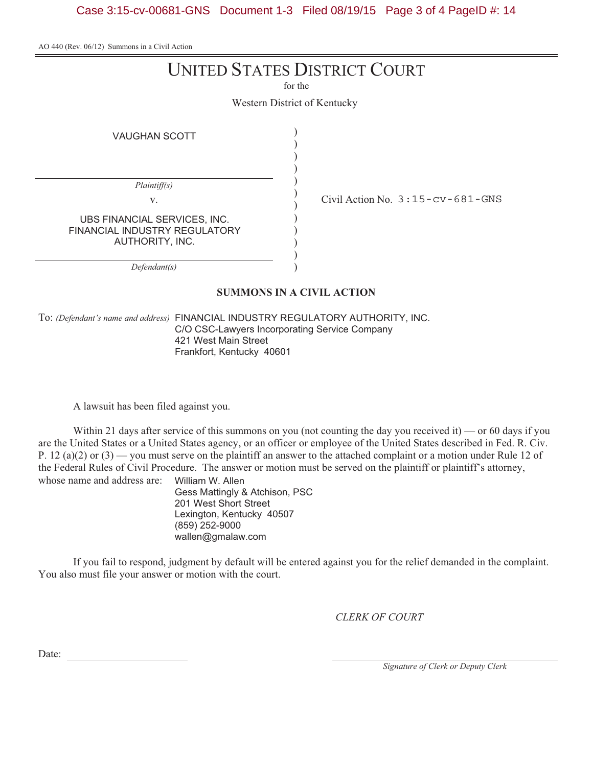Case 3:15-cv-00681-GNS Document 1-3 Filed 08/19/15 Page 3 of 4 PageID #: 14

AO 440 (Rev. 06/12) Summons in a Civil Action

# UNITED STATES DISTRICT COURT

for the

Western District of Kentucky

)  $\overline{ }$ 

**VAUGHAN SCOTT** 

| Plaintiff(s)                                                                     |                                            |
|----------------------------------------------------------------------------------|--------------------------------------------|
| V.                                                                               | Civil Action No. $3:15$ - $cv$ - 681 - GNS |
| UBS FINANCIAL SERVICES, INC.<br>FINANCIAL INDUSTRY REGULATORY<br>AUTHORITY, INC. |                                            |
|                                                                                  |                                            |

**SUMMONS IN A CIVIL ACTION**

To: *(Defendant's name and address)* C/O CSC-Lawyers Incorporating Service Company 421 West Main Street 121 Meet Mantucky  $\ldots$   $\ldots$   $\ldots$ 

A lawsuit has been filed against you.

Within 21 days after service of this summons on you (not counting the day you received it) — or 60 days if you are the United States or a United States agency, or an officer or employee of the United States described in Fed. R. Civ. P. 12 (a)(2) or  $(3)$  — you must serve on the plaintiff an answer to the attached complaint or a motion under Rule 12 of the Federal Rules of Civil Procedure. The answer or motion must be served on the plaintiff or plaintiff's attorney, whose name and address are: William W. Allen

Gess Mattingly & Atchison, PSC 201 West Short Street Lexington, Kentucky 40507 (859) 252-9000 (\*\*\**) =\*=* \*\*\*\*<br>wallen@gmalay wallen@gmalaw.com

If you fail to respond, judgment by default will be entered against you for the relief demanded in the complaint. You also must file your answer or motion with the court.

*CLERK OF COURT*

Date:

*Signature of Clerk or Deputy Clerk*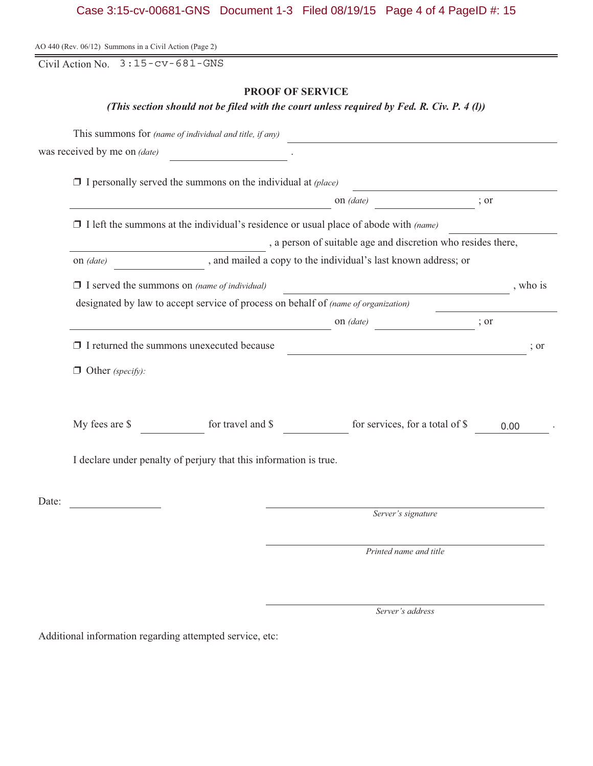# Case 3:15-cv-00681-GNS Document 1-3 Filed 08/19/15 Page 4 of 4 PageID #: 15

|       | Civil Action No. $3:15$ - $cv$ - 681 - GNS          |                                                                                             |                                                                                            |           |
|-------|-----------------------------------------------------|---------------------------------------------------------------------------------------------|--------------------------------------------------------------------------------------------|-----------|
|       |                                                     | <b>PROOF OF SERVICE</b>                                                                     |                                                                                            |           |
|       |                                                     |                                                                                             | (This section should not be filed with the court unless required by Fed. R. Civ. P. 4 (l)) |           |
|       |                                                     | This summons for (name of individual and title, if any)                                     |                                                                                            |           |
|       | was received by me on (date)                        |                                                                                             |                                                                                            |           |
|       |                                                     | $\Box$ I personally served the summons on the individual at (place)                         |                                                                                            |           |
|       |                                                     | <u> 1989 - Johann Barbara, martin amerikan personal (</u>                                   | on (date)                                                                                  | ; or      |
|       |                                                     | $\Box$ I left the summons at the individual's residence or usual place of abode with (name) |                                                                                            |           |
|       |                                                     |                                                                                             | , a person of suitable age and discretion who resides there,                               |           |
|       | on (date)                                           |                                                                                             | , and mailed a copy to the individual's last known address; or                             |           |
|       | $\Box$ I served the summons on (name of individual) |                                                                                             |                                                                                            | , who is  |
|       |                                                     | designated by law to accept service of process on behalf of (name of organization)          |                                                                                            |           |
|       |                                                     |                                                                                             | on $(data)$                                                                                | ; or      |
|       |                                                     | $\Box$ I returned the summons unexecuted because                                            |                                                                                            | $\div$ or |
|       | $\Box$ Other (specify):                             |                                                                                             |                                                                                            |           |
|       |                                                     |                                                                                             |                                                                                            |           |
|       |                                                     |                                                                                             |                                                                                            |           |
|       | My fees are \$                                      | for travel and \$                                                                           | for services, for a total of \$                                                            | 0.00      |
|       |                                                     | I declare under penalty of perjury that this information is true.                           |                                                                                            |           |
|       |                                                     |                                                                                             |                                                                                            |           |
| Date: |                                                     |                                                                                             |                                                                                            |           |
|       |                                                     |                                                                                             | Server's signature                                                                         |           |
|       |                                                     |                                                                                             |                                                                                            |           |
|       |                                                     |                                                                                             | Printed name and title                                                                     |           |

*Server's address*

Additional information regarding attempted service, etc: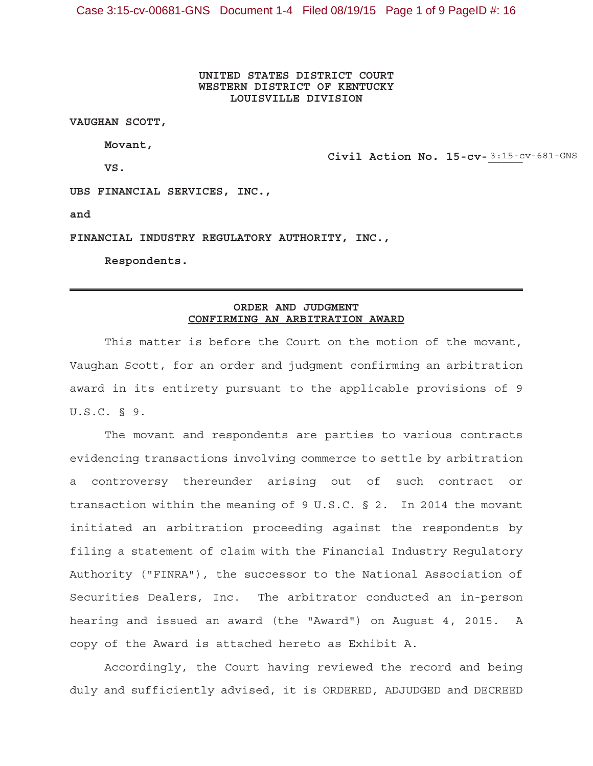**UNITED STATES DISTRICT COURT WESTERN DISTRICT OF KENTUCKY LOUISVILLE DIVISION**

**VAUGHAN SCOTT,**

**Movant,**

**VS.**

Civil Action No. 15-cv-3:15-cv-681-GNS

**UBS FINANCIAL SERVICES, INC.,**

**and**

**FINANCIAL INDUSTRY REGULATORY AUTHORITY, INC.,**

**Respondents.**

#### **ORDER AND JUDGMENT CONFIRMING AN ARBITRATION AWARD**

 $\mathcal{L}_\text{max}$  and  $\mathcal{L}_\text{max}$  and  $\mathcal{L}_\text{max}$  and  $\mathcal{L}_\text{max}$  and  $\mathcal{L}_\text{max}$  and  $\mathcal{L}_\text{max}$ 

This matter is before the Court on the motion of the movant, Vaughan Scott, for an order and judgment confirming an arbitration award in its entirety pursuant to the applicable provisions of 9 U.S.C. § 9.

The movant and respondents are parties to various contracts evidencing transactions involving commerce to settle by arbitration a controversy thereunder arising out of such contract or transaction within the meaning of 9 U.S.C. § 2. In 2014 the movant initiated an arbitration proceeding against the respondents by filing a statement of claim with the Financial Industry Regulatory Authority ("FINRA"), the successor to the National Association of Securities Dealers, Inc. The arbitrator conducted an in-person hearing and issued an award (the "Award") on August 4, 2015. A copy of the Award is attached hereto as Exhibit A.

Accordingly, the Court having reviewed the record and being duly and sufficiently advised, it is ORDERED, ADJUDGED and DECREED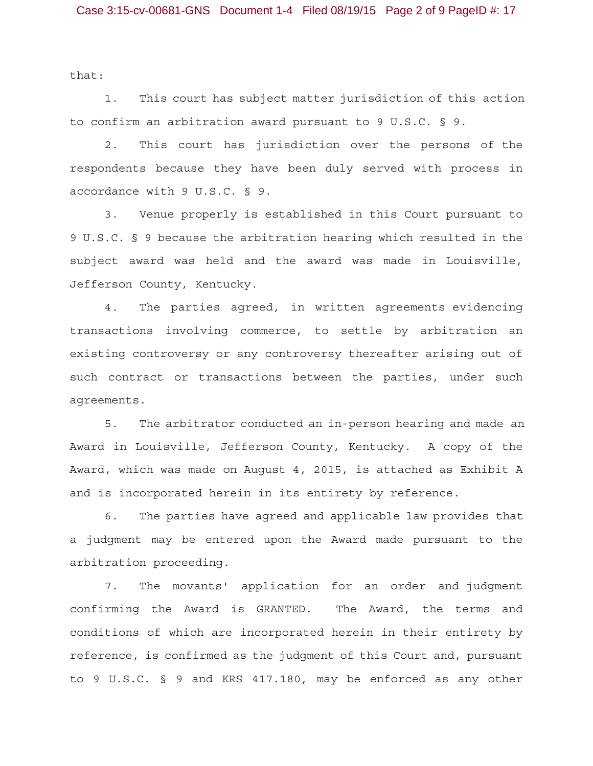that:

1. This court has subject matter jurisdiction of this action to confirm an arbitration award pursuant to 9 U.S.C. § 9.

2. This court has jurisdiction over the persons of the respondents because they have been duly served with process in accordance with 9 U.S.C. § 9.

3. Venue properly is established in this Court pursuant to 9 U.S.C. § 9 because the arbitration hearing which resulted in the subject award was held and the award was made in Louisville, Jefferson County, Kentucky.

4. The parties agreed, in written agreements evidencing transactions involving commerce, to settle by arbitration an existing controversy or any controversy thereafter arising out of such contract or transactions between the parties, under such agreements.

5. The arbitrator conducted an in-person hearing and made an Award in Louisville, Jefferson County, Kentucky. A copy of the Award, which was made on August 4, 2015, is attached as Exhibit A and is incorporated herein in its entirety by reference.

6. The parties have agreed and applicable law provides that a judgment may be entered upon the Award made pursuant to the arbitration proceeding.

7. The movants' application for an order and judgment confirming the Award is GRANTED. The Award, the terms and conditions of which are incorporated herein in their entirety by reference, is confirmed as the judgment of this Court and, pursuant to 9 U.S.C. § 9 and KRS 417.180, may be enforced as any other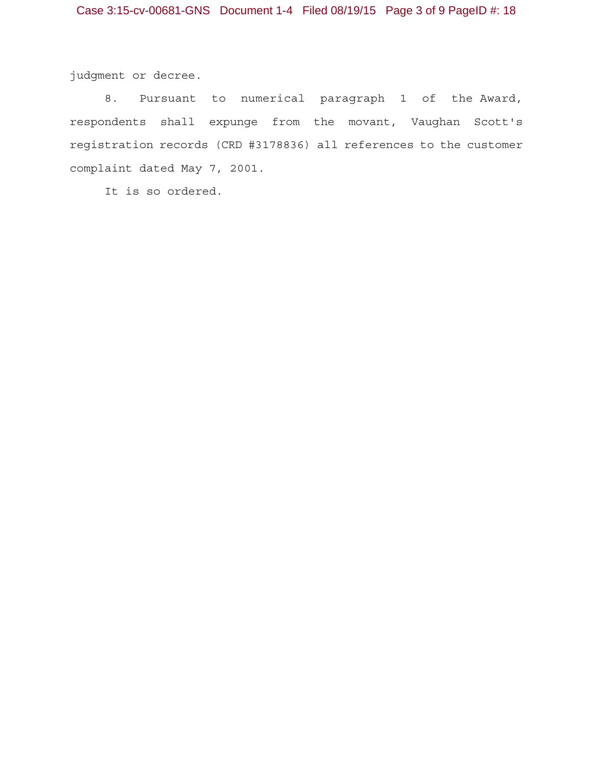judgment or decree.

8. Pursuant to numerical paragraph 1 of the Award, respondents shall expunge from the movant, Vaughan Scott's registration records (CRD #3178836) all references to the customer complaint dated May 7, 2001.

It is so ordered.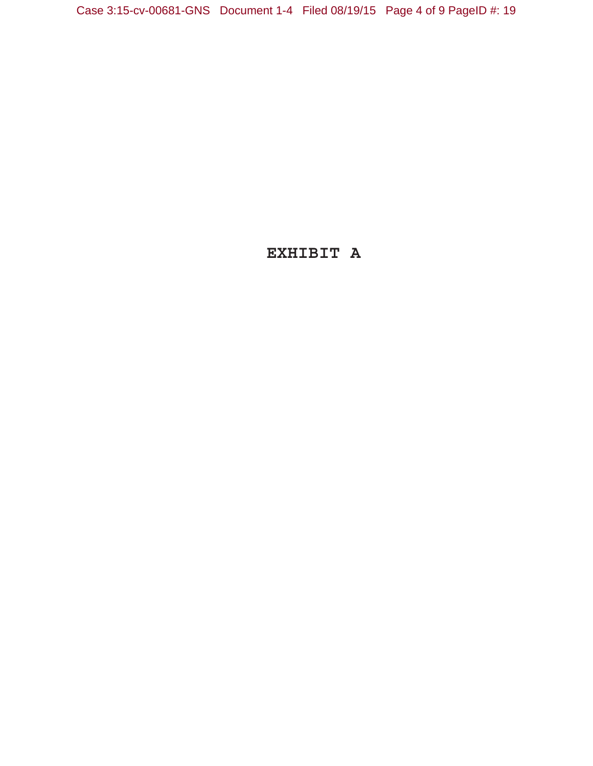# **EXHIBIT A**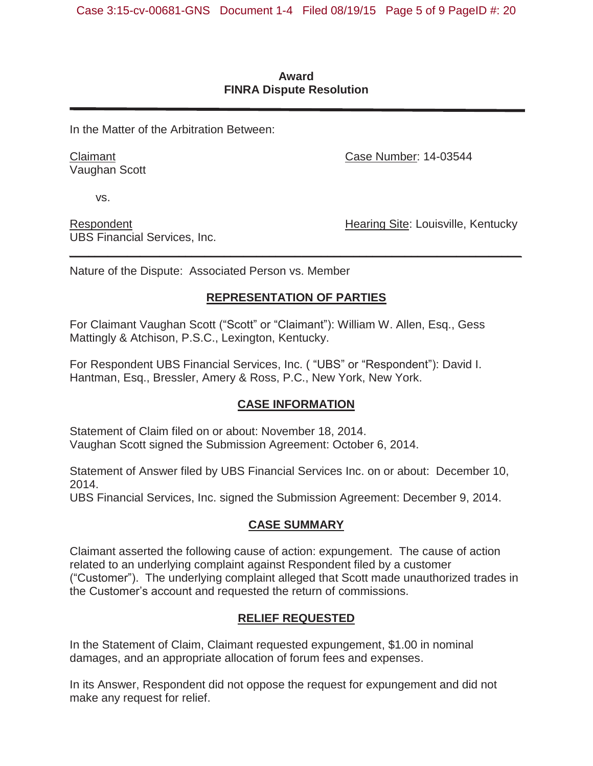#### **Award FINRA Dispute Resolution**

In the Matter of the Arbitration Between:

Claimant Vaughan Scott Case Number: 14-03544

vs.

Respondent UBS Financial Services, Inc. Hearing Site: Louisville, Kentucky

Nature of the Dispute: Associated Person vs. Member

## **REPRESENTATION OF PARTIES**

*\_\_\_\_\_\_\_\_\_\_\_\_\_\_\_\_\_\_\_\_\_\_\_\_\_\_\_\_\_\_\_\_\_\_\_\_\_\_\_\_\_\_\_\_\_\_\_\_\_\_\_\_\_\_\_\_\_\_\_\_\_\_\_\_\_\_\_\_\_\_* 

For Claimant Vaughan Scott ("Scott" or "Claimant"): William W. Allen, Esq., Gess Mattingly & Atchison, P.S.C., Lexington, Kentucky.

For Respondent UBS Financial Services, Inc. ( "UBS" or "Respondent"): David I. Hantman, Esq., Bressler, Amery & Ross, P.C., New York, New York.

## **CASE INFORMATION**

Statement of Claim filed on or about: November 18, 2014. Vaughan Scott signed the Submission Agreement: October 6, 2014.

Statement of Answer filed by UBS Financial Services Inc. on or about: December 10, 2014.

UBS Financial Services, Inc. signed the Submission Agreement: December 9, 2014.

## **CASE SUMMARY**

Claimant asserted the following cause of action: expungement. The cause of action related to an underlying complaint against Respondent filed by a customer ("Customer"). The underlying complaint alleged that Scott made unauthorized trades in the Customer's account and requested the return of commissions.

## **RELIEF REQUESTED**

In the Statement of Claim, Claimant requested expungement, \$1.00 in nominal damages, and an appropriate allocation of forum fees and expenses.

In its Answer, Respondent did not oppose the request for expungement and did not make any request for relief.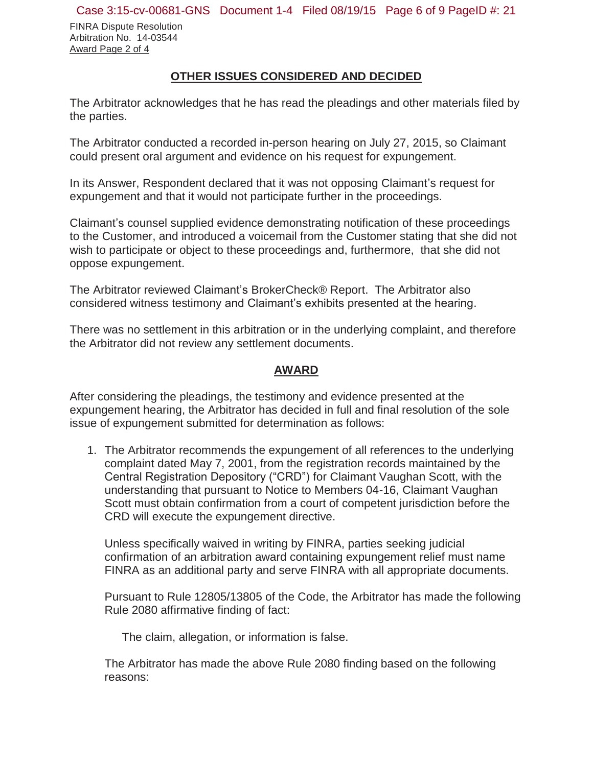FINRA Dispute Resolution Arbitration No. 14-03544 Award Page 2 of 4

### **OTHER ISSUES CONSIDERED AND DECIDED**

The Arbitrator acknowledges that he has read the pleadings and other materials filed by the parties.

The Arbitrator conducted a recorded in-person hearing on July 27, 2015, so Claimant could present oral argument and evidence on his request for expungement.

In its Answer, Respondent declared that it was not opposing Claimant's request for expungement and that it would not participate further in the proceedings.

Claimant's counsel supplied evidence demonstrating notification of these proceedings to the Customer, and introduced a voicemail from the Customer stating that she did not wish to participate or object to these proceedings and, furthermore, that she did not oppose expungement.

The Arbitrator reviewed Claimant's BrokerCheck® Report. The Arbitrator also considered witness testimony and Claimant's exhibits presented at the hearing.

There was no settlement in this arbitration or in the underlying complaint, and therefore the Arbitrator did not review any settlement documents.

#### **AWARD**

After considering the pleadings, the testimony and evidence presented at the expungement hearing, the Arbitrator has decided in full and final resolution of the sole issue of expungement submitted for determination as follows:

1. The Arbitrator recommends the expungement of all references to the underlying complaint dated May 7, 2001, from the registration records maintained by the Central Registration Depository ("CRD") for Claimant Vaughan Scott, with the understanding that pursuant to Notice to Members 04-16, Claimant Vaughan Scott must obtain confirmation from a court of competent jurisdiction before the CRD will execute the expungement directive.

Unless specifically waived in writing by FINRA, parties seeking judicial confirmation of an arbitration award containing expungement relief must name FINRA as an additional party and serve FINRA with all appropriate documents.

Pursuant to Rule 12805/13805 of the Code, the Arbitrator has made the following Rule 2080 affirmative finding of fact:

The claim, allegation, or information is false.

The Arbitrator has made the above Rule 2080 finding based on the following reasons: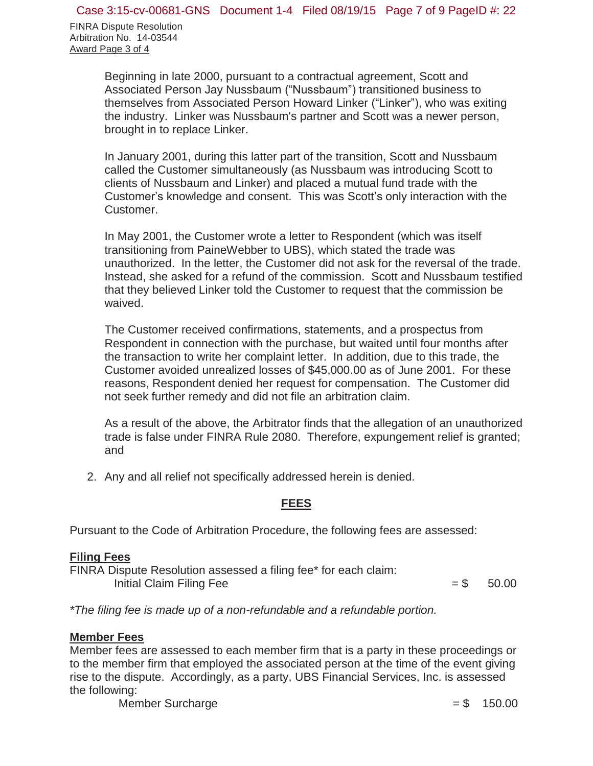FINRA Dispute Resolution Arbitration No. 14-03544 Award Page 3 of 4

> Beginning in late 2000, pursuant to a contractual agreement, Scott and Associated Person Jay Nussbaum ("Nussbaum") transitioned business to themselves from Associated Person Howard Linker ("Linker"), who was exiting the industry. Linker was Nussbaum's partner and Scott was a newer person, brought in to replace Linker.

> In January 2001, during this latter part of the transition, Scott and Nussbaum called the Customer simultaneously (as Nussbaum was introducing Scott to clients of Nussbaum and Linker) and placed a mutual fund trade with the Customer's knowledge and consent. This was Scott's only interaction with the Customer.

In May 2001, the Customer wrote a letter to Respondent (which was itself transitioning from PaineWebber to UBS), which stated the trade was unauthorized. In the letter, the Customer did not ask for the reversal of the trade. Instead, she asked for a refund of the commission. Scott and Nussbaum testified that they believed Linker told the Customer to request that the commission be waived.

The Customer received confirmations, statements, and a prospectus from Respondent in connection with the purchase, but waited until four months after the transaction to write her complaint letter. In addition, due to this trade, the Customer avoided unrealized losses of \$45,000.00 as of June 2001. For these reasons, Respondent denied her request for compensation. The Customer did not seek further remedy and did not file an arbitration claim.

As a result of the above, the Arbitrator finds that the allegation of an unauthorized trade is false under FINRA Rule 2080. Therefore, expungement relief is granted; and

2. Any and all relief not specifically addressed herein is denied.

### **FEES**

Pursuant to the Code of Arbitration Procedure, the following fees are assessed:

### **Filing Fees**

FINRA Dispute Resolution assessed a filing fee\* for each claim: Initial Claim Filing Fee  $= $$  50.00

*\*The filing fee is made up of a non-refundable and a refundable portion.* 

### **Member Fees**

Member fees are assessed to each member firm that is a party in these proceedings or to the member firm that employed the associated person at the time of the event giving rise to the dispute. Accordingly, as a party, UBS Financial Services, Inc. is assessed the following:

Member Surcharge  $= $$  150.00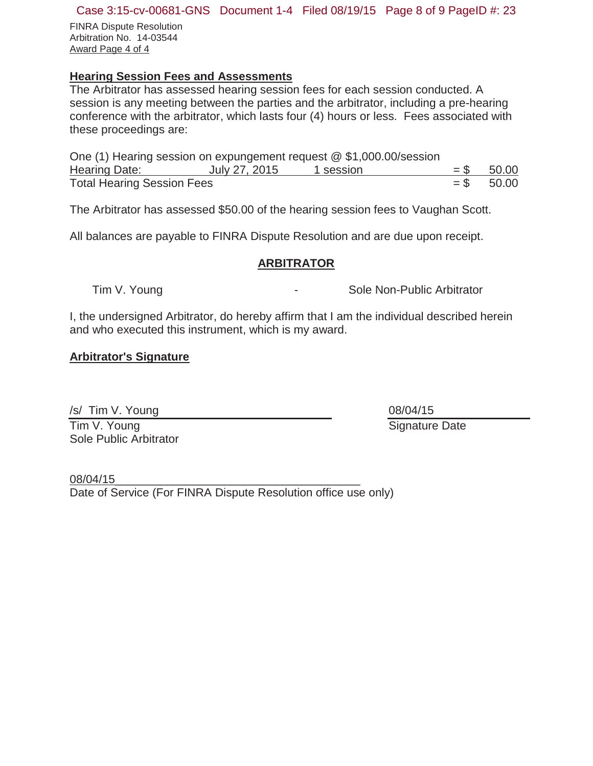#### Case 3:15-cv-00681-GNS Document 1-4 Filed 08/19/15 Page 8 of 9 PageID #: 23

FINRA Dispute Resolution Arbitration No. 14-03544 Award Page 4 of 4

## **Hearing Session Fees and Assessments**

The Arbitrator has assessed hearing session fees for each session conducted. A session is any meeting between the parties and the arbitrator, including a pre-hearing conference with the arbitrator, which lasts four (4) hours or less. Fees associated with these proceedings are:

| One (1) Hearing session on expungement request $@$ \$1,000.00/session |               |           |              |
|-----------------------------------------------------------------------|---------------|-----------|--------------|
| Hearing Date:                                                         | July 27, 2015 | 1 session | $=$ \$ 50.00 |
| <b>Total Hearing Session Fees</b>                                     |               |           | $=$ \$ 50.00 |

The Arbitrator has assessed \$50.00 of the hearing session fees to Vaughan Scott.

All balances are payable to FINRA Dispute Resolution and are due upon receipt.

#### **ARBITRATOR**

Tim V. Young **Construction Construction Construction** Sole Non-Public Arbitrator

I, the undersigned Arbitrator, do hereby affirm that I am the individual described herein and who executed this instrument, which is my award.

### **Arbitrator's Signature**

/s/ Tim V. Young

Tim V. Young Sole Public Arbitrator 08/04/15 Signature Date

08/04/15\_\_\_\_\_\_\_\_\_\_\_\_\_\_\_\_\_\_\_\_\_\_\_\_\_\_\_\_\_\_\_\_\_\_\_\_\_\_ Date of Service (For FINRA Dispute Resolution office use only)